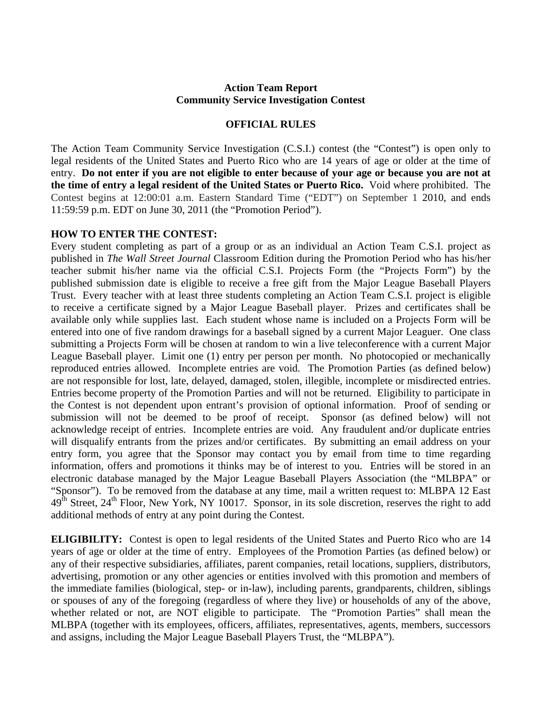## **Action Team Report Community Service Investigation Contest**

## **OFFICIAL RULES**

The Action Team Community Service Investigation (C.S.I.) contest (the "Contest") is open only to legal residents of the United States and Puerto Rico who are 14 years of age or older at the time of entry. **Do not enter if you are not eligible to enter because of your age or because you are not at the time of entry a legal resident of the United States or Puerto Rico.** Void where prohibited. The Contest begins at 12:00:01 a.m. Eastern Standard Time ("EDT") on September 1 2010, and ends 11:59:59 p.m. EDT on June 30, 2011 (the "Promotion Period").

## **HOW TO ENTER THE CONTEST:**

Every student completing as part of a group or as an individual an Action Team C.S.I. project as published in *The Wall Street Journal* Classroom Edition during the Promotion Period who has his/her teacher submit his/her name via the official C.S.I. Projects Form (the "Projects Form") by the published submission date is eligible to receive a free gift from the Major League Baseball Players Trust. Every teacher with at least three students completing an Action Team C.S.I. project is eligible to receive a certificate signed by a Major League Baseball player. Prizes and certificates shall be available only while supplies last. Each student whose name is included on a Projects Form will be entered into one of five random drawings for a baseball signed by a current Major Leaguer. One class submitting a Projects Form will be chosen at random to win a live teleconference with a current Major League Baseball player. Limit one (1) entry per person per month. No photocopied or mechanically reproduced entries allowed. Incomplete entries are void. The Promotion Parties (as defined below) are not responsible for lost, late, delayed, damaged, stolen, illegible, incomplete or misdirected entries. Entries become property of the Promotion Parties and will not be returned. Eligibility to participate in the Contest is not dependent upon entrant's provision of optional information. Proof of sending or submission will not be deemed to be proof of receipt. Sponsor (as defined below) will not acknowledge receipt of entries. Incomplete entries are void. Any fraudulent and/or duplicate entries will disqualify entrants from the prizes and/or certificates. By submitting an email address on your entry form, you agree that the Sponsor may contact you by email from time to time regarding information, offers and promotions it thinks may be of interest to you. Entries will be stored in an electronic database managed by the Major League Baseball Players Association (the "MLBPA" or "Sponsor"). To be removed from the database at any time, mail a written request to: MLBPA 12 East  $49<sup>th</sup> Street, 24<sup>th</sup> Floor, New York, NY 10017. Sponsor, in its sole discretion, reserves the right to add$ additional methods of entry at any point during the Contest.

**ELIGIBILITY:** Contest is open to legal residents of the United States and Puerto Rico who are 14 years of age or older at the time of entry. Employees of the Promotion Parties (as defined below) or any of their respective subsidiaries, affiliates, parent companies, retail locations, suppliers, distributors, advertising, promotion or any other agencies or entities involved with this promotion and members of the immediate families (biological, step- or in-law), including parents, grandparents, children, siblings or spouses of any of the foregoing (regardless of where they live) or households of any of the above, whether related or not, are NOT eligible to participate. The "Promotion Parties" shall mean the MLBPA (together with its employees, officers, affiliates, representatives, agents, members, successors and assigns, including the Major League Baseball Players Trust, the "MLBPA").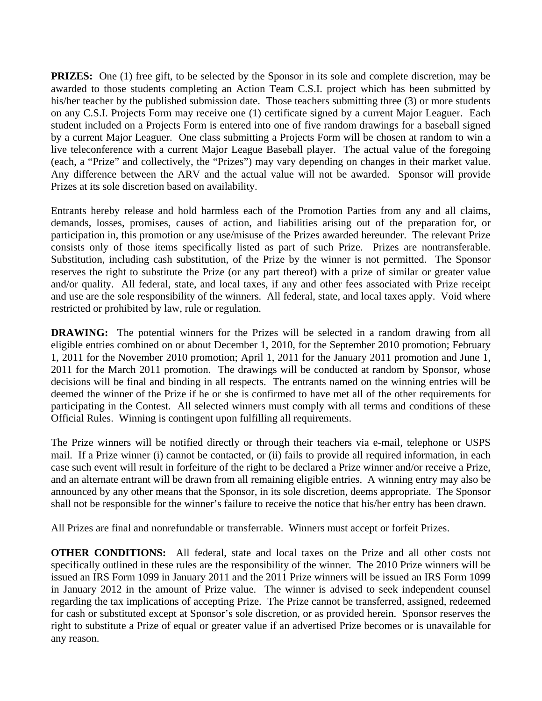**PRIZES:** One (1) free gift, to be selected by the Sponsor in its sole and complete discretion, may be awarded to those students completing an Action Team C.S.I. project which has been submitted by his/her teacher by the published submission date. Those teachers submitting three (3) or more students on any C.S.I. Projects Form may receive one (1) certificate signed by a current Major Leaguer. Each student included on a Projects Form is entered into one of five random drawings for a baseball signed by a current Major Leaguer. One class submitting a Projects Form will be chosen at random to win a live teleconference with a current Major League Baseball player. The actual value of the foregoing (each, a "Prize" and collectively, the "Prizes") may vary depending on changes in their market value. Any difference between the ARV and the actual value will not be awarded. Sponsor will provide Prizes at its sole discretion based on availability.

Entrants hereby release and hold harmless each of the Promotion Parties from any and all claims, demands, losses, promises, causes of action, and liabilities arising out of the preparation for, or participation in, this promotion or any use/misuse of the Prizes awarded hereunder. The relevant Prize consists only of those items specifically listed as part of such Prize. Prizes are nontransferable. Substitution, including cash substitution, of the Prize by the winner is not permitted. The Sponsor reserves the right to substitute the Prize (or any part thereof) with a prize of similar or greater value and/or quality. All federal, state, and local taxes, if any and other fees associated with Prize receipt and use are the sole responsibility of the winners. All federal, state, and local taxes apply. Void where restricted or prohibited by law, rule or regulation.

**DRAWING:** The potential winners for the Prizes will be selected in a random drawing from all eligible entries combined on or about December 1, 2010, for the September 2010 promotion; February 1, 2011 for the November 2010 promotion; April 1, 2011 for the January 2011 promotion and June 1, 2011 for the March 2011 promotion. The drawings will be conducted at random by Sponsor, whose decisions will be final and binding in all respects. The entrants named on the winning entries will be deemed the winner of the Prize if he or she is confirmed to have met all of the other requirements for participating in the Contest. All selected winners must comply with all terms and conditions of these Official Rules. Winning is contingent upon fulfilling all requirements.

The Prize winners will be notified directly or through their teachers via e-mail, telephone or USPS mail. If a Prize winner (i) cannot be contacted, or (ii) fails to provide all required information, in each case such event will result in forfeiture of the right to be declared a Prize winner and/or receive a Prize, and an alternate entrant will be drawn from all remaining eligible entries. A winning entry may also be announced by any other means that the Sponsor, in its sole discretion, deems appropriate. The Sponsor shall not be responsible for the winner's failure to receive the notice that his/her entry has been drawn.

All Prizes are final and nonrefundable or transferrable. Winners must accept or forfeit Prizes.

**OTHER CONDITIONS:** All federal, state and local taxes on the Prize and all other costs not specifically outlined in these rules are the responsibility of the winner. The 2010 Prize winners will be issued an IRS Form 1099 in January 2011 and the 2011 Prize winners will be issued an IRS Form 1099 in January 2012 in the amount of Prize value. The winner is advised to seek independent counsel regarding the tax implications of accepting Prize. The Prize cannot be transferred, assigned, redeemed for cash or substituted except at Sponsor's sole discretion, or as provided herein. Sponsor reserves the right to substitute a Prize of equal or greater value if an advertised Prize becomes or is unavailable for any reason.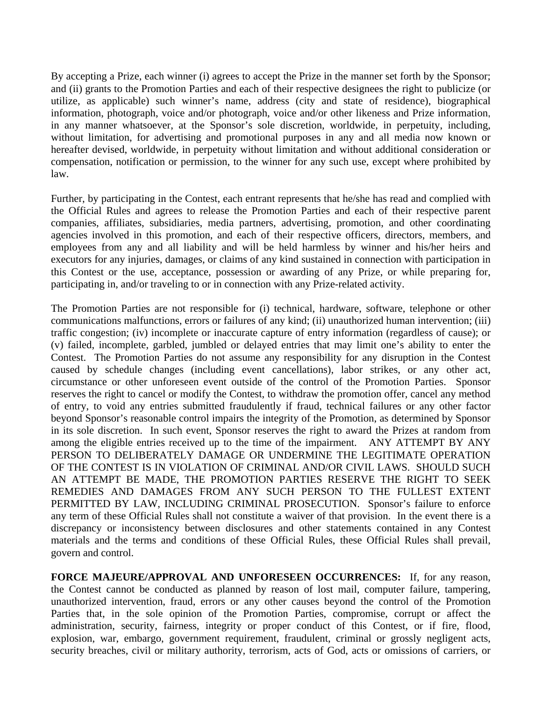By accepting a Prize, each winner (i) agrees to accept the Prize in the manner set forth by the Sponsor; and (ii) grants to the Promotion Parties and each of their respective designees the right to publicize (or utilize, as applicable) such winner's name, address (city and state of residence), biographical information, photograph, voice and/or photograph, voice and/or other likeness and Prize information, in any manner whatsoever, at the Sponsor's sole discretion, worldwide, in perpetuity, including, without limitation, for advertising and promotional purposes in any and all media now known or hereafter devised, worldwide, in perpetuity without limitation and without additional consideration or compensation, notification or permission, to the winner for any such use, except where prohibited by law.

Further, by participating in the Contest, each entrant represents that he/she has read and complied with the Official Rules and agrees to release the Promotion Parties and each of their respective parent companies, affiliates, subsidiaries, media partners, advertising, promotion, and other coordinating agencies involved in this promotion, and each of their respective officers, directors, members, and employees from any and all liability and will be held harmless by winner and his/her heirs and executors for any injuries, damages, or claims of any kind sustained in connection with participation in this Contest or the use, acceptance, possession or awarding of any Prize, or while preparing for, participating in, and/or traveling to or in connection with any Prize-related activity.

The Promotion Parties are not responsible for (i) technical, hardware, software, telephone or other communications malfunctions, errors or failures of any kind; (ii) unauthorized human intervention; (iii) traffic congestion; (iv) incomplete or inaccurate capture of entry information (regardless of cause); or (v) failed, incomplete, garbled, jumbled or delayed entries that may limit one's ability to enter the Contest. The Promotion Parties do not assume any responsibility for any disruption in the Contest caused by schedule changes (including event cancellations), labor strikes, or any other act, circumstance or other unforeseen event outside of the control of the Promotion Parties. Sponsor reserves the right to cancel or modify the Contest, to withdraw the promotion offer, cancel any method of entry, to void any entries submitted fraudulently if fraud, technical failures or any other factor beyond Sponsor's reasonable control impairs the integrity of the Promotion, as determined by Sponsor in its sole discretion. In such event, Sponsor reserves the right to award the Prizes at random from among the eligible entries received up to the time of the impairment. ANY ATTEMPT BY ANY PERSON TO DELIBERATELY DAMAGE OR UNDERMINE THE LEGITIMATE OPERATION OF THE CONTEST IS IN VIOLATION OF CRIMINAL AND/OR CIVIL LAWS. SHOULD SUCH AN ATTEMPT BE MADE, THE PROMOTION PARTIES RESERVE THE RIGHT TO SEEK REMEDIES AND DAMAGES FROM ANY SUCH PERSON TO THE FULLEST EXTENT PERMITTED BY LAW, INCLUDING CRIMINAL PROSECUTION. Sponsor's failure to enforce any term of these Official Rules shall not constitute a waiver of that provision. In the event there is a discrepancy or inconsistency between disclosures and other statements contained in any Contest materials and the terms and conditions of these Official Rules, these Official Rules shall prevail, govern and control.

**FORCE MAJEURE/APPROVAL AND UNFORESEEN OCCURRENCES:** If, for any reason, the Contest cannot be conducted as planned by reason of lost mail, computer failure, tampering, unauthorized intervention, fraud, errors or any other causes beyond the control of the Promotion Parties that, in the sole opinion of the Promotion Parties, compromise, corrupt or affect the administration, security, fairness, integrity or proper conduct of this Contest, or if fire, flood, explosion, war, embargo, government requirement, fraudulent, criminal or grossly negligent acts, security breaches, civil or military authority, terrorism, acts of God, acts or omissions of carriers, or